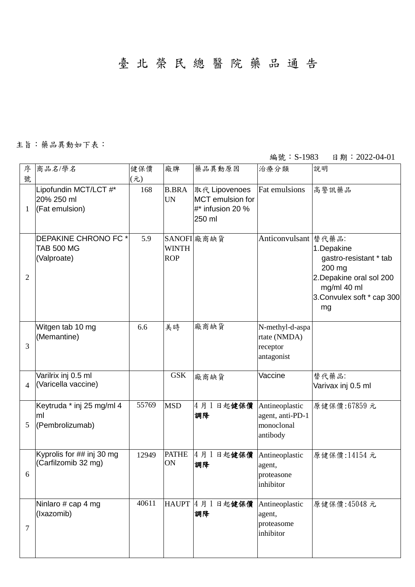臺 北 榮 民 總 醫 院 藥 品 通 告

## 主旨:藥品異動如下表:

編號: S-1983 日期: 2022-04-01

| 序<br>號         | 商品名/學名                                                         | 健保價<br>$(\bar{\pi})$ | 廠牌                         | 藥品異動原因                                                                 | 治療分類                                                         | 說明                                                                                                                            |
|----------------|----------------------------------------------------------------|----------------------|----------------------------|------------------------------------------------------------------------|--------------------------------------------------------------|-------------------------------------------------------------------------------------------------------------------------------|
| 1              | Lipofundin MCT/LCT #*<br>20% 250 ml<br>(Fat emulsion)          | 168                  | <b>B.BRA</b><br><b>UN</b>  | 取代 Lipovenoes<br><b>MCT</b> emulsion for<br>#* infusion 20 %<br>250 ml | Fat emulsions                                                | 高警訊藥品                                                                                                                         |
| $\overline{2}$ | <b>DEPAKINE CHRONO FC*</b><br><b>TAB 500 MG</b><br>(Valproate) | 5.9                  | <b>WINTH</b><br><b>ROP</b> | SANOFI 廠商缺貨                                                            | Anticonvulsant   替代藥品:                                       | 1.Depakine<br>gastro-resistant * tab<br>200 mg<br>2. Depakine oral sol 200<br>mg/ml 40 ml<br>3. Convulex soft * cap 300<br>mg |
| 3              | Witgen tab 10 mg<br>(Memantine)                                | 6.6                  | 美時                         | 廠商缺貨                                                                   | N-methyl-d-aspa<br>rtate (NMDA)<br>receptor<br>antagonist    |                                                                                                                               |
| 4              | Varilrix inj 0.5 ml<br>(Varicella vaccine)                     |                      | <b>GSK</b>                 | 廠商缺貨                                                                   | Vaccine                                                      | 替代藥品:<br>Varivax inj 0.5 ml                                                                                                   |
| 5              | Keytruda * inj 25 mg/ml 4<br>ml<br>(Pembrolizumab)             | 55769                | <b>MSD</b>                 | 4月1日起健保價<br>調降                                                         | Antineoplastic<br>agent, anti-PD-1<br>monoclonal<br>antibody | 原健保價:67859元                                                                                                                   |
| 6              | Kyprolis for ## inj 30 mg<br>(Carfilzomib 32 mg)               | 12949                | <b>PATHE</b><br>ON         | 4月1日起健保價<br>調降                                                         | Antineoplastic<br>agent,<br>proteasone<br>inhibitor          | 原健保價:14154元                                                                                                                   |
| 7              | Ninlaro # cap 4 mg<br>(Ixazomib)                               | 40611                |                            | HAUPT 4 月 1 日起健保價<br>調降                                                | Antineoplastic<br>agent,<br>proteasome<br>inhibitor          | 原健保價:45048元                                                                                                                   |